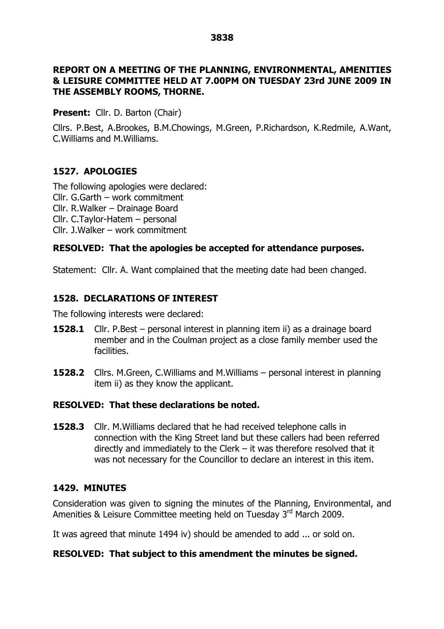#### **3838**

#### **REPORT ON A MEETING OF THE PLANNING, ENVIRONMENTAL, AMENITIES & LEISURE COMMITTEE HELD AT 7.00PM ON TUESDAY 23rd JUNE 2009 IN THE ASSEMBLY ROOMS, THORNE.**

**Present:** Cllr. D. Barton (Chair)

Cllrs. P.Best, A.Brookes, B.M.Chowings, M.Green, P.Richardson, K.Redmile, A.Want, C.Williams and M.Williams.

## **1527. APOLOGIES**

The following apologies were declared: Cllr. G.Garth –work commitment Cllr. R.Walker – Drainage Board  $Clrr.$  C.Taylor-Hatem  $-$  personal Cllr. J.Walker –work commitment

### **RESOLVED: That the apologies be accepted for attendance purposes.**

Statement: Cllr. A. Want complained that the meeting date had been changed.

## **1528. DECLARATIONS OF INTEREST**

The following interests were declared:

- **1528.1** Cllr. P.Best personal interest in planning item ii) as a drainage board member and in the Coulman project as a close family member used the facilities.
- **1528.2** Cllrs. M.Green, C.Williams and M.Williams personal interest in planning item ii) as they know the applicant.

### **RESOLVED: That these declarations be noted.**

**1528.3** Cllr. M. Williams declared that he had received telephone calls in connection with the King Street land but these callers had been referred directly and immediately to the Clerk  $-$  it was therefore resolved that it was not necessary for the Councillor to declare an interest in this item.

### **1429. MINUTES**

Consideration was given to signing the minutes of the Planning, Environmental, and Amenities & Leisure Committee meeting held on Tuesday 3rd March 2009.

It was agreed that minute 1494 iv) should be amended to add ... or sold on.

#### **RESOLVED: That subject to this amendment the minutes be signed.**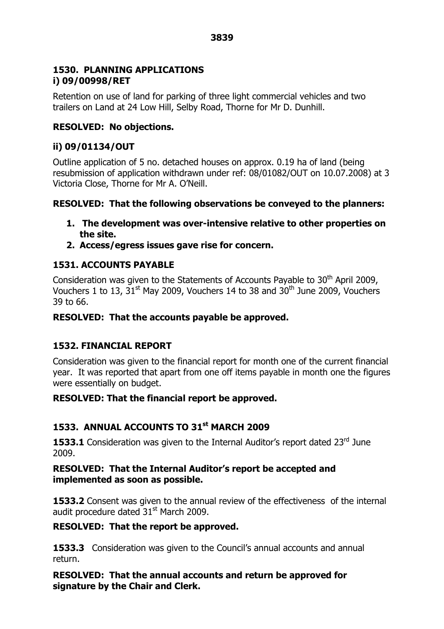## **1530. PLANNING APPLICATIONS i) 09/00998/RET**

Retention on use of land for parking of three light commercial vehicles and two trailers on Land at 24 Low Hill, Selby Road, Thorne for Mr D. Dunhill.

# **RESOLVED: No objections.**

## **ii) 09/01134/OUT**

Outline application of 5 no. detached houses on approx. 0.19 ha of land (being resubmission of application withdrawn under ref: 08/01082/OUT on 10.07.2008) at 3 Victoria Close, Thorne for Mr A. O'Neill.

## **RESOLVED: That the following observations be conveyed to the planners:**

- **1. The development was over-intensive relative to other properties on the site.**
- **2. Access/egress issues gave rise for concern.**

# **1531. ACCOUNTS PAYABLE**

Consideration was given to the Statements of Accounts Payable to 30<sup>th</sup> April 2009, Vouchers 1 to 13,  $31<sup>st</sup>$  May 2009, Vouchers 14 to 38 and  $30<sup>th</sup>$  June 2009, Vouchers 39 to 66.

### **RESOLVED: That the accounts payable be approved.**

# **1532. FINANCIAL REPORT**

Consideration was given to the financial report for month one of the current financial year. It was reported that apart from one off items payable in month one the figures were essentially on budget.

### **RESOLVED: That the financial report be approved.**

# **1533. ANNUAL ACCOUNTS TO 31st MARCH 2009**

**1533.1** Consideration was given to the Internal Auditor's report dated 23<sup>rd</sup> June 2009.

### **RESOLVED: That the Internal Auditor's report be accepted and implemented as soon as possible.**

**1533.2** Consent was given to the annual review of the effectiveness of the internal audit procedure dated  $31<sup>st</sup>$  March 2009.

### **RESOLVED: That the report be approved.**

**1533.3** Consideration was given to the Council's annual accounts and annual return.

**RESOLVED: That the annual accounts and return be approved for signature by the Chair and Clerk.**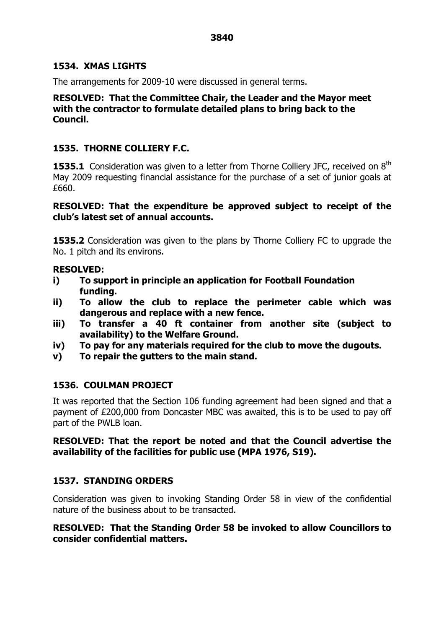#### **1534. XMAS LIGHTS**

The arrangements for 2009-10 were discussed in general terms.

**RESOLVED: That the Committee Chair, the Leader and the Mayor meet with the contractor to formulate detailed plans to bring back to the Council.**

### **1535. THORNE COLLIERY F.C.**

**1535.1** Consideration was given to a letter from Thorne Colliery JFC, received on 8<sup>th</sup> May 2009 requesting financial assistance for the purchase of a set of junior goals at £660.

### **RESOLVED: That the expenditure be approved subject to receipt of the club's latest set of annual accounts.**

**1535.2** Consideration was given to the plans by Thorne Colliery FC to upgrade the No. 1 pitch and its environs.

### **RESOLVED:**

- **i) To support in principle an application for Football Foundation funding.**
- **ii) To allow the club to replace the perimeter cable which was dangerous and replace with a new fence.**
- **iii) To transfer a 40 ft container from another site (subject to availability) to the Welfare Ground.**
- **iv) To pay for any materials required for the club to move the dugouts.**
- **v) To repair the gutters to the main stand.**

# **1536. COULMAN PROJECT**

It was reported that the Section 106 funding agreement had been signed and that a payment of £200,000 from Doncaster MBC was awaited, this is to be used to pay off part of the PWLB loan.

### **RESOLVED: That the report be noted and that the Council advertise the availability of the facilities for public use (MPA 1976, S19).**

# **1537. STANDING ORDERS**

Consideration was given to invoking Standing Order 58 in view of the confidential nature of the business about to be transacted.

### **RESOLVED: That the Standing Order 58 be invoked to allow Councillors to consider confidential matters.**